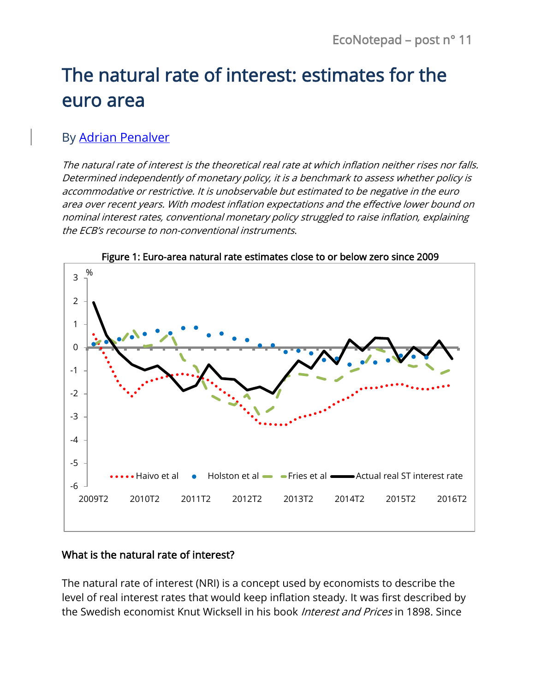# The natural rate of interest: estimates for the euro area

## By [Adrian Penalver](https://www.banque-france.fr/economie/economistes-et-chercheurs/adrian-penalver)

The natural rate of interest is the theoretical real rate at which inflation neither rises nor falls. Determined independently of monetary policy, it is a benchmark to assess whether policy is accommodative or restrictive. It is unobservable but estimated to be negative in the euro area over recent years. With modest inflation expectations and the effective lower bound on nominal interest rates, conventional monetary policy struggled to raise inflation, explaining the ECB's recourse to non-conventional instruments.



Figure 1: Euro-area natural rate estimates close to or below zero since 2009

#### What is the natural rate of interest?

The natural rate of interest (NRI) is a concept used by economists to describe the level of real interest rates that would keep inflation steady. It was first described by the Swedish economist Knut Wicksell in his book *Interest and Prices* in 1898. Since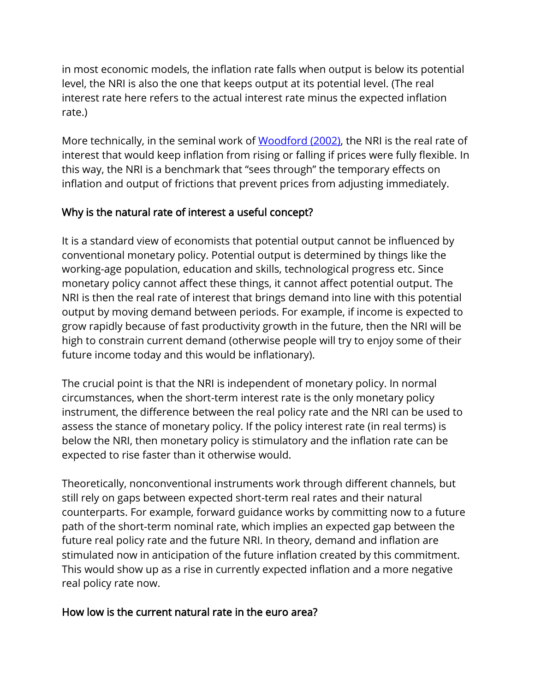in most economic models, the inflation rate falls when output is below its potential level, the NRI is also the one that keeps output at its potential level. (The real interest rate here refers to the actual interest rate minus the expected inflation rate.)

More technically, in the seminal work of [Woodford \(2002\),](http://press.princeton.edu/titles/7603.html) the NRI is the real rate of interest that would keep inflation from rising or falling if prices were fully flexible. In this way, the NRI is a benchmark that "sees through" the temporary effects on inflation and output of frictions that prevent prices from adjusting immediately.

## Why is the natural rate of interest a useful concept?

It is a standard view of economists that potential output cannot be influenced by conventional monetary policy. Potential output is determined by things like the working-age population, education and skills, technological progress etc. Since monetary policy cannot affect these things, it cannot affect potential output. The NRI is then the real rate of interest that brings demand into line with this potential output by moving demand between periods. For example, if income is expected to grow rapidly because of fast productivity growth in the future, then the NRI will be high to constrain current demand (otherwise people will try to enjoy some of their future income today and this would be inflationary).

The crucial point is that the NRI is independent of monetary policy. In normal circumstances, when the short-term interest rate is the only monetary policy instrument, the difference between the real policy rate and the NRI can be used to assess the stance of monetary policy. If the policy interest rate (in real terms) is below the NRI, then monetary policy is stimulatory and the inflation rate can be expected to rise faster than it otherwise would.

Theoretically, nonconventional instruments work through different channels, but still rely on gaps between expected short-term real rates and their natural counterparts. For example, forward guidance works by committing now to a future path of the short-term nominal rate, which implies an expected gap between the future real policy rate and the future NRI. In theory, demand and inflation are stimulated now in anticipation of the future inflation created by this commitment. This would show up as a rise in currently expected inflation and a more negative real policy rate now.

## How low is the current natural rate in the euro area?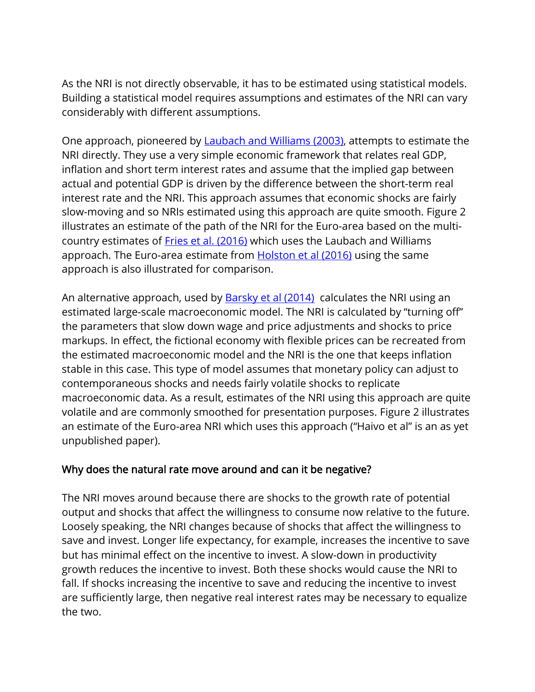As the NRI is not directly observable, it has to be estimated using statistical models. Building a statistical model requires assumptions and estimates of the NRI can vary considerably with different assumptions.

One approach, pioneered by **Laubach and Williams (2003)**, attempts to estimate the NRI directly. They use a very simple economic framework that relates real GDP, inflation and short term interest rates and assume that the implied gap between actual and potential GDP is driven by the difference between the short-term real interest rate and the NRI. This approach assumes that economic shocks are fairly slow-moving and so NRIs estimated using this approach are quite smooth. Figure 2 illustrates an estimate of the path of the NRI for the Euro-area based on the multicountry estimates of [Fries et al. \(2016\)](https://publications.banque-france.fr/sites/default/files/medias/documents/document-de-travail-611_2016-12-16.pdf) which uses the Laubach and Williams approach. The Euro-area estimate from [Holston et al \(2016\)](http://www.frbsf.org/economic-research/files/wp2016-11.pdf) using the same approach is also illustrated for comparison.

An alternative approach, used by **[Barsky et al \(2014\)](https://www.aeaweb.org/articles?id=10.1257/aer.104.5.37)** calculates the NRI using an estimated large-scale macroeconomic model. The NRI is calculated by "turning off" the parameters that slow down wage and price adjustments and shocks to price markups. In effect, the fictional economy with flexible prices can be recreated from the estimated macroeconomic model and the NRI is the one that keeps inflation stable in this case. This type of model assumes that monetary policy can adjust to contemporaneous shocks and needs fairly volatile shocks to replicate macroeconomic data. As a result, estimates of the NRI using this approach are quite volatile and are commonly smoothed for presentation purposes. Figure 2 illustrates an estimate of the Euro-area NRI which uses this approach ("Haivo et al" is an as yet unpublished paper).

#### Why does the natural rate move around and can it be negative?

The NRI moves around because there are shocks to the growth rate of potential output and shocks that affect the willingness to consume now relative to the future. Loosely speaking, the NRI changes because of shocks that affect the willingness to save and invest. Longer life expectancy, for example, increases the incentive to save but has minimal effect on the incentive to invest. A slow-down in productivity growth reduces the incentive to invest. Both these shocks would cause the NRI to fall. If shocks increasing the incentive to save and reducing the incentive to invest are sufficiently large, then negative real interest rates may be necessary to equalize the two.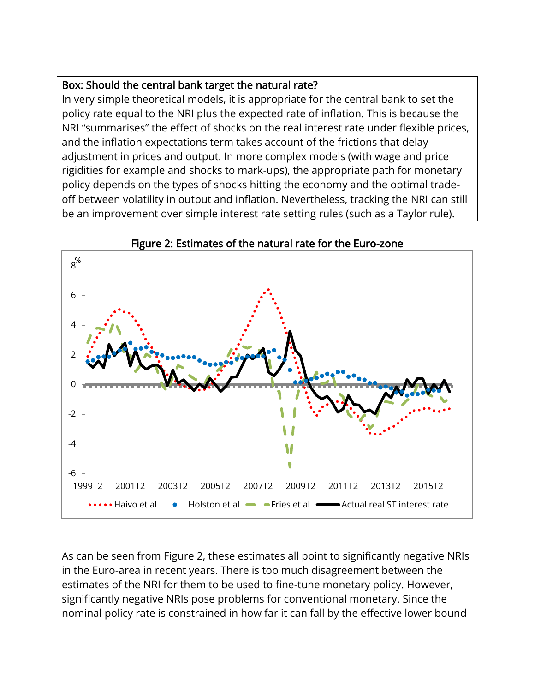### Box: Should the central bank target the natural rate?

In very simple theoretical models, it is appropriate for the central bank to set the policy rate equal to the NRI plus the expected rate of inflation. This is because the NRI "summarises" the effect of shocks on the real interest rate under flexible prices, and the inflation expectations term takes account of the frictions that delay adjustment in prices and output. In more complex models (with wage and price rigidities for example and shocks to mark-ups), the appropriate path for monetary policy depends on the types of shocks hitting the economy and the optimal tradeoff between volatility in output and inflation. Nevertheless, tracking the NRI can still be an improvement over simple interest rate setting rules (such as a Taylor rule).





As can be seen from Figure 2, these estimates all point to significantly negative NRIs in the Euro-area in recent years. There is too much disagreement between the estimates of the NRI for them to be used to fine-tune monetary policy. However, significantly negative NRIs pose problems for conventional monetary. Since the nominal policy rate is constrained in how far it can fall by the effective lower bound